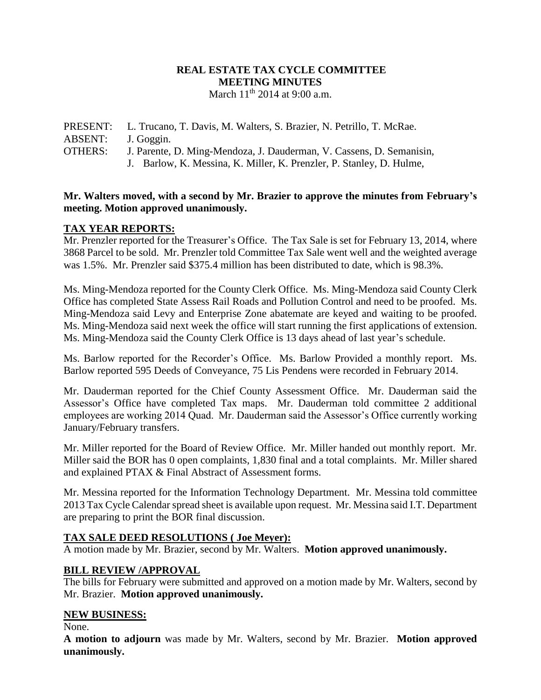#### **REAL ESTATE TAX CYCLE COMMITTEE MEETING MINUTES** March 11<sup>th</sup> 2014 at 9:00 a.m.

PRESENT: L. Trucano, T. Davis, M. Walters, S. Brazier, N. Petrillo, T. McRae. ABSENT: J. Goggin. OTHERS: J. Parente, D. Ming-Mendoza, J. Dauderman, V. Cassens, D. Semanisin, J. Barlow, K. Messina, K. Miller, K. Prenzler, P. Stanley, D. Hulme,

#### **Mr. Walters moved, with a second by Mr. Brazier to approve the minutes from February's meeting. Motion approved unanimously.**

# **TAX YEAR REPORTS:**

Mr. Prenzler reported for the Treasurer's Office. The Tax Sale is set for February 13, 2014, where 3868 Parcel to be sold. Mr. Prenzler told Committee Tax Sale went well and the weighted average was 1.5%. Mr. Prenzler said \$375.4 million has been distributed to date, which is 98.3%.

Ms. Ming-Mendoza reported for the County Clerk Office. Ms. Ming-Mendoza said County Clerk Office has completed State Assess Rail Roads and Pollution Control and need to be proofed. Ms. Ming-Mendoza said Levy and Enterprise Zone abatemate are keyed and waiting to be proofed. Ms. Ming-Mendoza said next week the office will start running the first applications of extension. Ms. Ming-Mendoza said the County Clerk Office is 13 days ahead of last year's schedule.

Ms. Barlow reported for the Recorder's Office. Ms. Barlow Provided a monthly report. Ms. Barlow reported 595 Deeds of Conveyance, 75 Lis Pendens were recorded in February 2014.

Mr. Dauderman reported for the Chief County Assessment Office. Mr. Dauderman said the Assessor's Office have completed Tax maps. Mr. Dauderman told committee 2 additional employees are working 2014 Quad. Mr. Dauderman said the Assessor's Office currently working January/February transfers.

Mr. Miller reported for the Board of Review Office. Mr. Miller handed out monthly report. Mr. Miller said the BOR has 0 open complaints, 1,830 final and a total complaints. Mr. Miller shared and explained PTAX & Final Abstract of Assessment forms.

Mr. Messina reported for the Information Technology Department. Mr. Messina told committee 2013 Tax Cycle Calendar spread sheet is available upon request. Mr. Messina said I.T. Department are preparing to print the BOR final discussion.

# **TAX SALE DEED RESOLUTIONS ( Joe Meyer):**

A motion made by Mr. Brazier, second by Mr. Walters. **Motion approved unanimously.**

# **BILL REVIEW /APPROVAL**

The bills for February were submitted and approved on a motion made by Mr. Walters, second by Mr. Brazier. **Motion approved unanimously.**

# **NEW BUSINESS:**

None.

**A motion to adjourn** was made by Mr. Walters, second by Mr. Brazier. **Motion approved unanimously.**